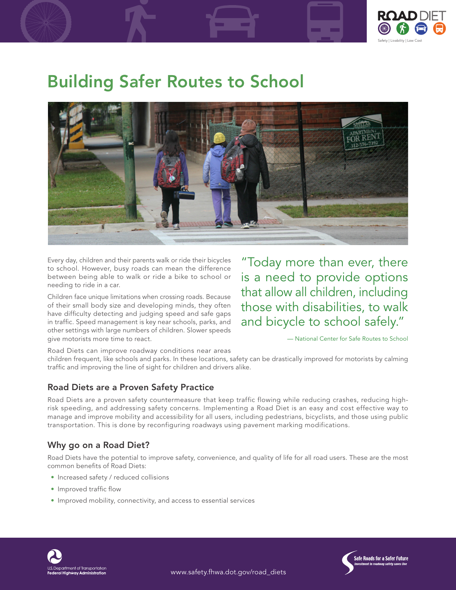

# Building Safer Routes to School



Every day, children and their parents walk or ride their bicycles to school. However, busy roads can mean the difference between being able to walk or ride a bike to school or needing to ride in a car.

Children face unique limitations when crossing roads. Because of their small body size and developing minds, they often have difficulty detecting and judging speed and safe gaps in traffic. Speed management is key near schools, parks, and other settings with large numbers of children. Slower speeds give motorists more time to react.

"Today more than ever, there is a need to provide options that allow all children, including those with disabilities, to walk and bicycle to school safely."

— National Center for Safe Routes to School

Road Diets can improve roadway conditions near areas

children frequent, like schools and parks. In these locations, safety can be drastically improved for motorists by calming traffic and improving the line of sight for children and drivers alike.

### Road Diets are a Proven Safety Practice

Road Diets are a proven safety countermeasure that keep traffic flowing while reducing crashes, reducing highrisk speeding, and addressing safety concerns. Implementing a Road Diet is an easy and cost effective way to manage and improve mobility and accessibility for all users, including pedestrians, bicyclists, and those using public transportation. This is done by reconfiguring roadways using pavement marking modifications.

## Why go on a Road Diet?

Road Diets have the potential to improve safety, convenience, and quality of life for all road users. These are the most common benefits of Road Diets:

- Increased safety / reduced collisions
- Improved traffic flow
- Improved mobility, connectivity, and access to essential services